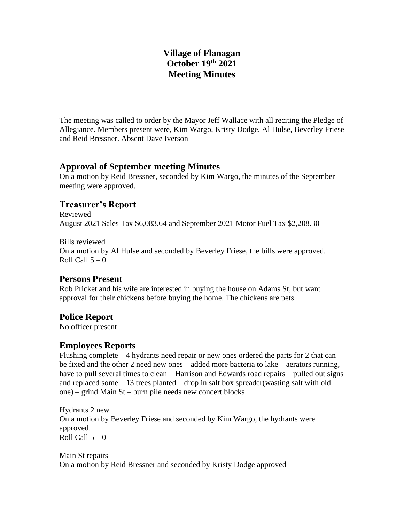## **Village of Flanagan October 19th 2021 Meeting Minutes**

The meeting was called to order by the Mayor Jeff Wallace with all reciting the Pledge of Allegiance. Members present were, Kim Wargo, Kristy Dodge, Al Hulse, Beverley Friese and Reid Bressner. Absent Dave Iverson

### **Approval of September meeting Minutes**

On a motion by Reid Bressner, seconded by Kim Wargo, the minutes of the September meeting were approved.

## **Treasurer's Report**

Reviewed August 2021 Sales Tax \$6,083.64 and September 2021 Motor Fuel Tax \$2,208.30

Bills reviewed On a motion by Al Hulse and seconded by Beverley Friese, the bills were approved. Roll Call  $5 - 0$ 

## **Persons Present**

Rob Pricket and his wife are interested in buying the house on Adams St, but want approval for their chickens before buying the home. The chickens are pets.

## **Police Report**

No officer present

# **Employees Reports**

Flushing complete  $-4$  hydrants need repair or new ones ordered the parts for 2 that can be fixed and the other 2 need new ones – added more bacteria to lake – aerators running, have to pull several times to clean – Harrison and Edwards road repairs – pulled out signs and replaced some – 13 trees planted – drop in salt box spreader(wasting salt with old one) – grind Main St – burn pile needs new concert blocks

Hydrants 2 new On a motion by Beverley Friese and seconded by Kim Wargo, the hydrants were approved. Roll Call  $5-0$ 

Main St repairs On a motion by Reid Bressner and seconded by Kristy Dodge approved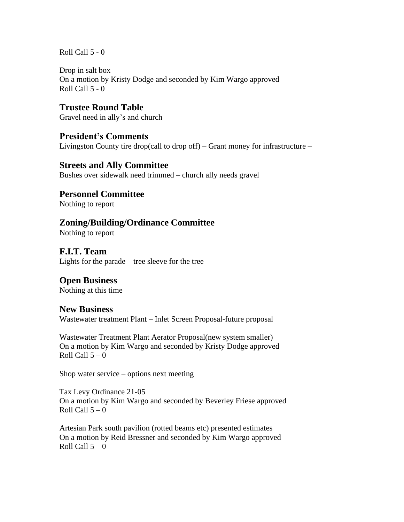Roll Call 5 - 0

Drop in salt box On a motion by Kristy Dodge and seconded by Kim Wargo approved Roll Call  $5 - 0$ 

**Trustee Round Table** Gravel need in ally's and church

#### **President's Comments**

Livingston County tire drop(call to drop off) – Grant money for infrastructure –

**Streets and Ally Committee** Bushes over sidewalk need trimmed – church ally needs gravel

### **Personnel Committee**

Nothing to report

# **Zoning/Building/Ordinance Committee**

Nothing to report

### **F.I.T. Team**

Lights for the parade – tree sleeve for the tree

#### **Open Business**

Nothing at this time

#### **New Business**

Wastewater treatment Plant – Inlet Screen Proposal-future proposal

Wastewater Treatment Plant Aerator Proposal(new system smaller) On a motion by Kim Wargo and seconded by Kristy Dodge approved Roll Call  $5 - 0$ 

Shop water service – options next meeting

Tax Levy Ordinance 21-05 On a motion by Kim Wargo and seconded by Beverley Friese approved Roll Call  $5 - 0$ 

Artesian Park south pavilion (rotted beams etc) presented estimates On a motion by Reid Bressner and seconded by Kim Wargo approved Roll Call  $5 - 0$